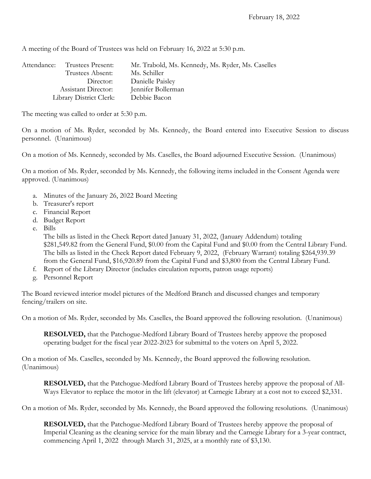A meeting of the Board of Trustees was held on February 16, 2022 at 5:30 p.m.

| Attendance:                             | Trustees Present: | Mr. Trabold, Ms. Kennedy, Ms. Ryder, Ms. Caselles |
|-----------------------------------------|-------------------|---------------------------------------------------|
|                                         | Trustees Absent:  | Ms. Schiller                                      |
| Director:<br><b>Assistant Director:</b> |                   | Danielle Paisley                                  |
|                                         |                   | Jennifer Bollerman                                |
| Library District Clerk:                 |                   | Debbie Bacon                                      |

The meeting was called to order at 5:30 p.m.

On a motion of Ms. Ryder, seconded by Ms. Kennedy, the Board entered into Executive Session to discuss personnel. (Unanimous)

On a motion of Ms. Kennedy, seconded by Ms. Caselles, the Board adjourned Executive Session. (Unanimous)

On a motion of Ms. Ryder, seconded by Ms. Kennedy, the following items included in the Consent Agenda were approved. (Unanimous)

- a. Minutes of the January 26, 2022 Board Meeting
- b. Treasurer's report
- c. Financial Report
- d. Budget Report
- e. Bills

The bills as listed in the Check Report dated January 31, 2022, (January Addendum) totaling \$281,549.82 from the General Fund, \$0.00 from the Capital Fund and \$0.00 from the Central Library Fund. The bills as listed in the Check Report dated February 9, 2022, (February Warrant) totaling \$264,939.39 from the General Fund, \$16,920.89 from the Capital Fund and \$3,800 from the Central Library Fund.

- f. Report of the Library Director (includes circulation reports, patron usage reports)
- g. Personnel Report

The Board reviewed interior model pictures of the Medford Branch and discussed changes and temporary fencing/trailers on site.

On a motion of Ms. Ryder, seconded by Ms. Caselles, the Board approved the following resolution. (Unanimous)

**RESOLVED,** that the Patchogue-Medford Library Board of Trustees hereby approve the proposed operating budget for the fiscal year 2022-2023 for submittal to the voters on April 5, 2022.

On a motion of Ms. Caselles, seconded by Ms. Kennedy, the Board approved the following resolution. (Unanimous)

**RESOLVED,** that the Patchogue-Medford Library Board of Trustees hereby approve the proposal of All-Ways Elevator to replace the motor in the lift (elevator) at Carnegie Library at a cost not to exceed \$2,331.

On a motion of Ms. Ryder, seconded by Ms. Kennedy, the Board approved the following resolutions. (Unanimous)

**RESOLVED,** that the Patchogue-Medford Library Board of Trustees hereby approve the proposal of Imperial Cleaning as the cleaning service for the main library and the Carnegie Library for a 3-year contract, commencing April 1, 2022 through March 31, 2025, at a monthly rate of \$3,130.